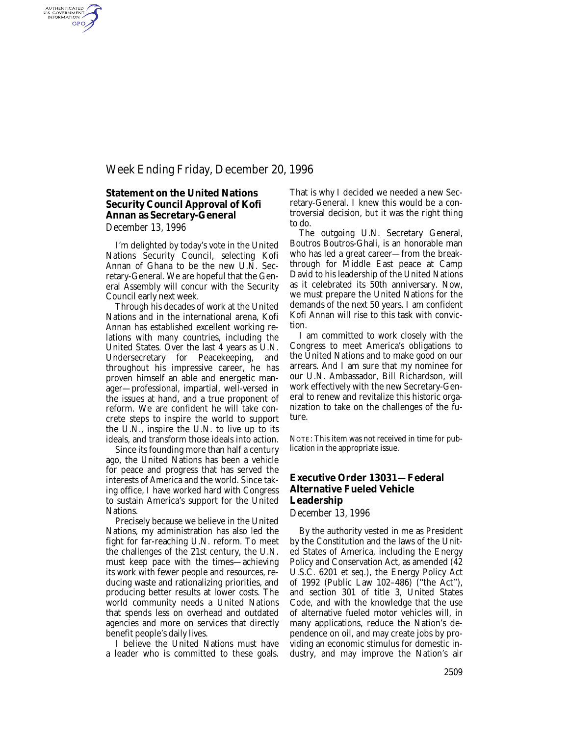## Week Ending Friday, December 20, 1996

# **Statement on the United Nations Security Council Approval of Kofi Annan as Secretary-General**

*December 13, 1996*

AUTHENTICATED<br>U.S. GOVERNMENT<br>INFORMATION GPO

> I'm delighted by today's vote in the United Nations Security Council, selecting Kofi Annan of Ghana to be the new U.N. Secretary-General. We are hopeful that the General Assembly will concur with the Security Council early next week.

Through his decades of work at the United Nations and in the international arena, Kofi Annan has established excellent working relations with many countries, including the United States. Over the last 4 years as U.N. Undersecretary for Peacekeeping, and throughout his impressive career, he has proven himself an able and energetic manager—professional, impartial, well-versed in the issues at hand, and a true proponent of reform. We are confident he will take concrete steps to inspire the world to support the U.N., inspire the U.N. to live up to its ideals, and transform those ideals into action.

Since its founding more than half a century ago, the United Nations has been a vehicle for peace and progress that has served the interests of America and the world. Since taking office, I have worked hard with Congress to sustain America's support for the United Nations.

Precisely because we believe in the United Nations, my administration has also led the fight for far-reaching U.N. reform. To meet the challenges of the 21st century, the U.N. must keep pace with the times—achieving its work with fewer people and resources, reducing waste and rationalizing priorities, and producing better results at lower costs. The world community needs a United Nations that spends less on overhead and outdated agencies and more on services that directly benefit people's daily lives.

I believe the United Nations must have a leader who is committed to these goals. That is why I decided we needed a new Secretary-General. I knew this would be a controversial decision, but it was the right thing to do.

The outgoing U.N. Secretary General, Boutros Boutros-Ghali, is an honorable man who has led a great career—from the breakthrough for Middle East peace at Camp David to his leadership of the United Nations as it celebrated its 50th anniversary. Now, we must prepare the United Nations for the demands of the *next* 50 years. I am confident Kofi Annan will rise to this task with conviction.

I am committed to work closely with the Congress to meet America's obligations to the United Nations and to make good on our arrears. And I am sure that my nominee for our U.N. Ambassador, Bill Richardson, will work effectively with the new Secretary-General to renew and revitalize this historic organization to take on the challenges of the future.

NOTE: This item was not received in time for publication in the appropriate issue.

### **Executive Order 13031—Federal Alternative Fueled Vehicle Leadership**

*December 13, 1996*

By the authority vested in me as President by the Constitution and the laws of the United States of America, including the Energy Policy and Conservation Act, as amended (42 U.S.C. 6201 *et seq.*), the Energy Policy Act of 1992 (Public Law 102–486) (''the Act''), and section 301 of title 3, United States Code, and with the knowledge that the use of alternative fueled motor vehicles will, in many applications, reduce the Nation's dependence on oil, and may create jobs by providing an economic stimulus for domestic industry, and may improve the Nation's air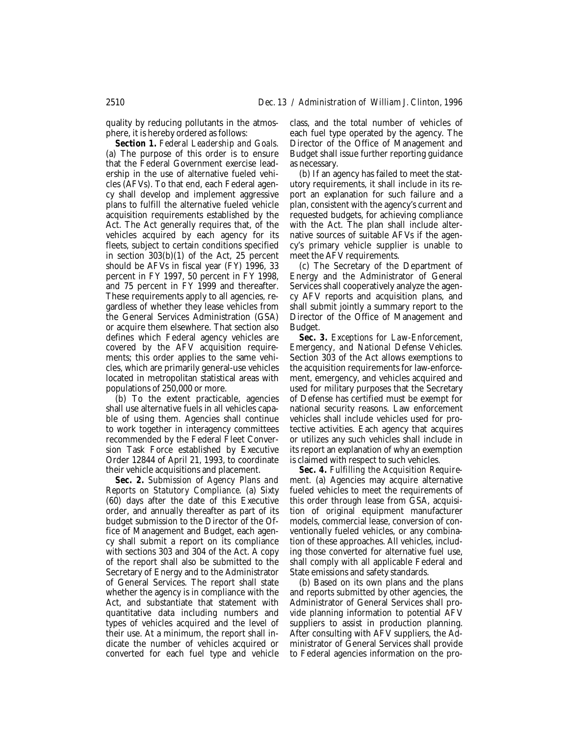quality by reducing pollutants in the atmosphere, it is hereby ordered as follows:

*Section 1. Federal Leadership and Goals.* (a) The purpose of this order is to ensure that the Federal Government exercise leadership in the use of alternative fueled vehicles (AFVs). To that end, each Federal agency shall develop and implement aggressive plans to fulfill the alternative fueled vehicle acquisition requirements established by the Act. The Act generally requires that, of the vehicles acquired by each agency for its fleets, subject to certain conditions specified in section 303(b)(1) of the Act, 25 percent should be AFVs in fiscal year (FY) 1996, 33 percent in FY 1997, 50 percent in FY 1998, and 75 percent in FY 1999 and thereafter. These requirements apply to all agencies, regardless of whether they lease vehicles from the General Services Administration (GSA) or acquire them elsewhere. That section also defines which Federal agency vehicles are covered by the AFV acquisition requirements; this order applies to the same vehicles, which are primarily general-use vehicles located in metropolitan statistical areas with populations of 250,000 or more.

(b) To the extent practicable, agencies shall use alternative fuels in all vehicles capable of using them. Agencies shall continue to work together in interagency committees recommended by the Federal Fleet Conversion Task Force established by Executive Order 12844 of April 21, 1993, to coordinate their vehicle acquisitions and placement.

*Sec. 2. Submission of Agency Plans and Reports on Statutory Compliance.* (a) Sixty (60) days after the date of this Executive order, and annually thereafter as part of its budget submission to the Director of the Office of Management and Budget, each agency shall submit a report on its compliance with sections 303 and 304 of the Act. A copy of the report shall also be submitted to the Secretary of Energy and to the Administrator of General Services. The report shall state whether the agency is in compliance with the Act, and substantiate that statement with quantitative data including numbers and types of vehicles acquired and the level of their use. At a minimum, the report shall indicate the number of vehicles acquired or converted for each fuel type and vehicle

class, and the total number of vehicles of each fuel type operated by the agency. The Director of the Office of Management and Budget shall issue further reporting guidance as necessary.

(b) If an agency has failed to meet the statutory requirements, it shall include in its report an explanation for such failure and a plan, consistent with the agency's current and requested budgets, for achieving compliance with the Act. The plan shall include alternative sources of suitable AFVs if the agency's primary vehicle supplier is unable to meet the AFV requirements.

(c) The Secretary of the Department of Energy and the Administrator of General Services shall cooperatively analyze the agency AFV reports and acquisition plans, and shall submit jointly a summary report to the Director of the Office of Management and Budget.

*Sec. 3. Exceptions for Law-Enforcement, Emergency, and National Defense Vehicles.* Section 303 of the Act allows exemptions to the acquisition requirements for law-enforcement, emergency, and vehicles acquired and used for military purposes that the Secretary of Defense has certified must be exempt for national security reasons. Law enforcement vehicles shall include vehicles used for protective activities. Each agency that acquires or utilizes any such vehicles shall include in its report an explanation of why an exemption is claimed with respect to such vehicles.

*Sec. 4. Fulfilling the Acquisition Requirement.* (a) Agencies may acquire alternative fueled vehicles to meet the requirements of this order through lease from GSA, acquisition of original equipment manufacturer models, commercial lease, conversion of conventionally fueled vehicles, or any combination of these approaches. All vehicles, including those converted for alternative fuel use, shall comply with all applicable Federal and State emissions and safety standards.

(b) Based on its own plans and the plans and reports submitted by other agencies, the Administrator of General Services shall provide planning information to potential AFV suppliers to assist in production planning. After consulting with AFV suppliers, the Administrator of General Services shall provide to Federal agencies information on the pro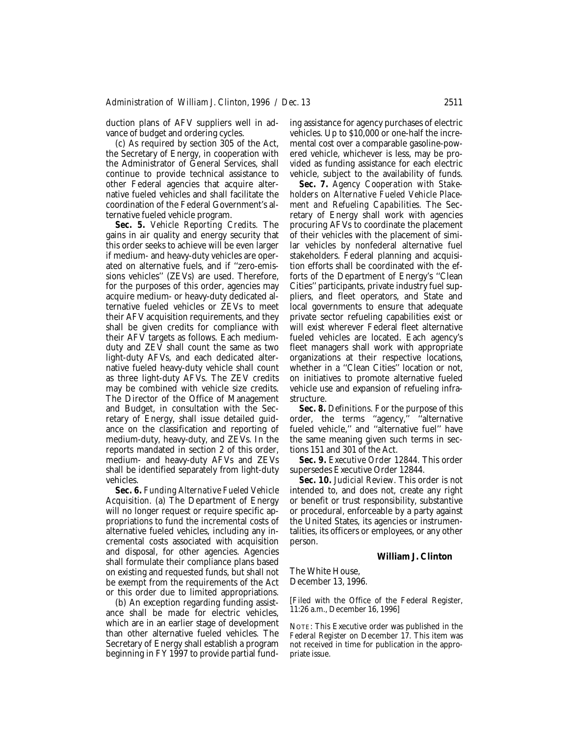duction plans of AFV suppliers well in advance of budget and ordering cycles.

(c) As required by section 305 of the Act, the Secretary of Energy, in cooperation with the Administrator of General Services, shall continue to provide technical assistance to other Federal agencies that acquire alternative fueled vehicles and shall facilitate the coordination of the Federal Government's alternative fueled vehicle program.

*Sec. 5. Vehicle Reporting Credits.* The gains in air quality and energy security that this order seeks to achieve will be even larger if medium- and heavy-duty vehicles are operated on alternative fuels, and if ''zero-emissions vehicles'' (ZEVs) are used. Therefore, for the purposes of this order, agencies may acquire medium- or heavy-duty dedicated alternative fueled vehicles or ZEVs to meet their AFV acquisition requirements, and they shall be given credits for compliance with their AFV targets as follows. Each mediumduty and ZEV shall count the same as two light-duty AFVs, and each dedicated alternative fueled heavy-duty vehicle shall count as three light-duty AFVs. The ZEV credits may be combined with vehicle size credits. The Director of the Office of Management and Budget, in consultation with the Secretary of Energy, shall issue detailed guidance on the classification and reporting of medium-duty, heavy-duty, and ZEVs. In the reports mandated in section 2 of this order, medium- and heavy-duty AFVs and ZEVs shall be identified separately from light-duty vehicles.

*Sec. 6. Funding Alternative Fueled Vehicle Acquisition.* (a) The Department of Energy will no longer request or require specific appropriations to fund the incremental costs of alternative fueled vehicles, including any incremental costs associated with acquisition and disposal, for other agencies. Agencies shall formulate their compliance plans based on existing and requested funds, but shall not be exempt from the requirements of the Act or this order due to limited appropriations.

(b) An exception regarding funding assistance shall be made for electric vehicles, which are in an earlier stage of development than other alternative fueled vehicles. The Secretary of Energy shall establish a program beginning in FY 1997 to provide partial funding assistance for agency purchases of electric vehicles. Up to \$10,000 or one-half the incremental cost over a comparable gasoline-powered vehicle, whichever is less, may be provided as funding assistance for each electric vehicle, subject to the availability of funds.

*Sec. 7. Agency Cooperation with Stakeholders on Alternative Fueled Vehicle Placement and Refueling Capabilities.* The Secretary of Energy shall work with agencies procuring AFVs to coordinate the placement of their vehicles with the placement of similar vehicles by nonfederal alternative fuel stakeholders. Federal planning and acquisition efforts shall be coordinated with the efforts of the Department of Energy's ''Clean Cities'' participants, private industry fuel suppliers, and fleet operators, and State and local governments to ensure that adequate private sector refueling capabilities exist or will exist wherever Federal fleet alternative fueled vehicles are located. Each agency's fleet managers shall work with appropriate organizations at their respective locations, whether in a "Clean Cities" location or not, on initiatives to promote alternative fueled vehicle use and expansion of refueling infrastructure.

*Sec. 8. Definitions.* For the purpose of this order, the terms "agency," "alternative fueled vehicle,'' and ''alternative fuel'' have the same meaning given such terms in sections 151 and 301 of the Act.

*Sec. 9. Executive Order 12844.* This order supersedes Executive Order 12844.

*Sec. 10. Judicial Review.* This order is not intended to, and does not, create any right or benefit or trust responsibility, substantive or procedural, enforceable by a party against the United States, its agencies or instrumentalities, its officers or employees, or any other person.

#### **William J. Clinton**

The White House, December 13, 1996.

[Filed with the Office of the Federal Register, 11:26 a.m., December 16, 1996]

NOTE: This Executive order was published in the *Federal Register* on December 17. This item was not received in time for publication in the appropriate issue.